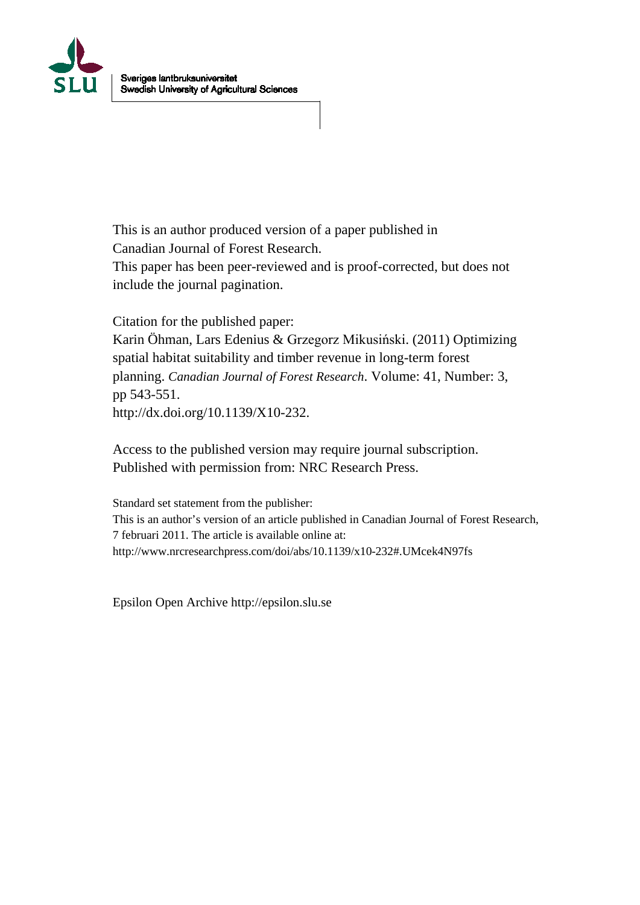

This is an author produced version of a paper published in Canadian Journal of Forest Research. This paper has been peer-reviewed and is proof-corrected, but does not include the journal pagination.

Citation for the published paper:

Karin Öhman, Lars Edenius & Grzegorz Mikusiński. (2011) Optimizing spatial habitat suitability and timber revenue in long-term forest planning. *Canadian Journal of Forest Research*. Volume: 41, Number: 3, pp 543-551. http://dx.doi.org/10.1139/X10-232.

Access to the published version may require journal subscription. Published with permission from: NRC Research Press.

Standard set statement from the publisher: This is an author's version of an article published in Canadian Journal of Forest Research, 7 februari 2011. The article is available online at: http://www.nrcresearchpress.com/doi/abs/10.1139/x10-232#.UMcek4N97fs

Epsilon Open Archive http://epsilon.slu.se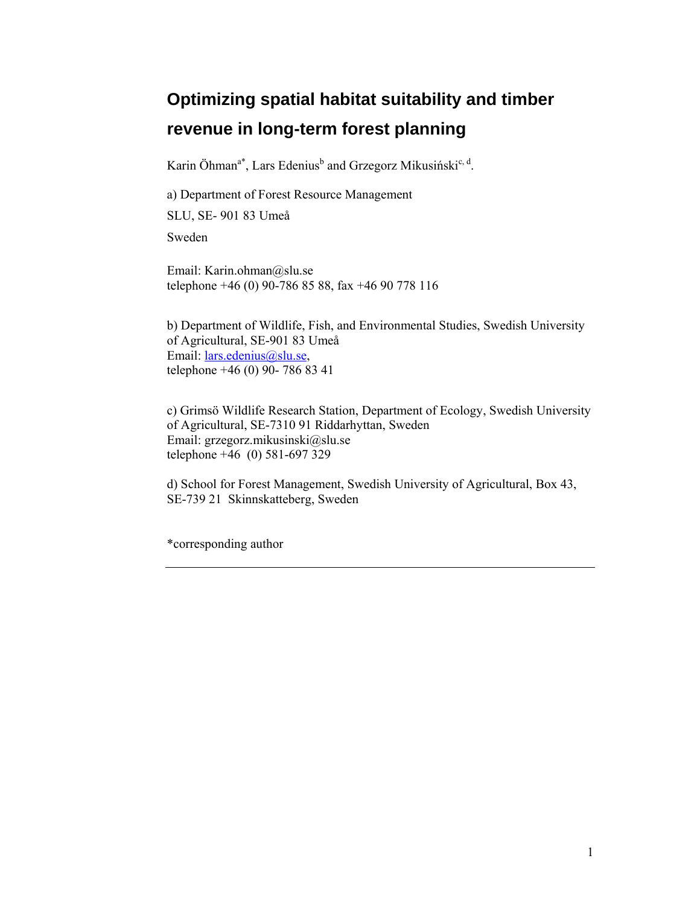# **Optimizing spatial habitat suitability and timber revenue in long-term forest planning**

Karin Öhman<sup>a\*</sup>, Lars Edenius<sup>b</sup> and Grzegorz Mikusiński<sup>c, d</sup>.

a) Department of Forest Resource Management

SLU, SE- 901 83 Umeå

Sweden

Email: Karin.ohman@slu.se telephone +46 (0) 90-786 85 88, fax +46 90 778 116

b) Department of Wildlife, Fish, and Environmental Studies, Swedish University of Agricultural, SE-901 83 Umeå Email: lars.edenius@slu.se, telephone +46 (0) 90- 786 83 41

c) Grimsö Wildlife Research Station, Department of Ecology, Swedish University of Agricultural, SE-7310 91 Riddarhyttan, Sweden Email: grzegorz.mikusinski@slu.se telephone +46 (0) 581-697 329

d) School for Forest Management, Swedish University of Agricultural, Box 43, SE-739 21 Skinnskatteberg, Sweden

\*corresponding author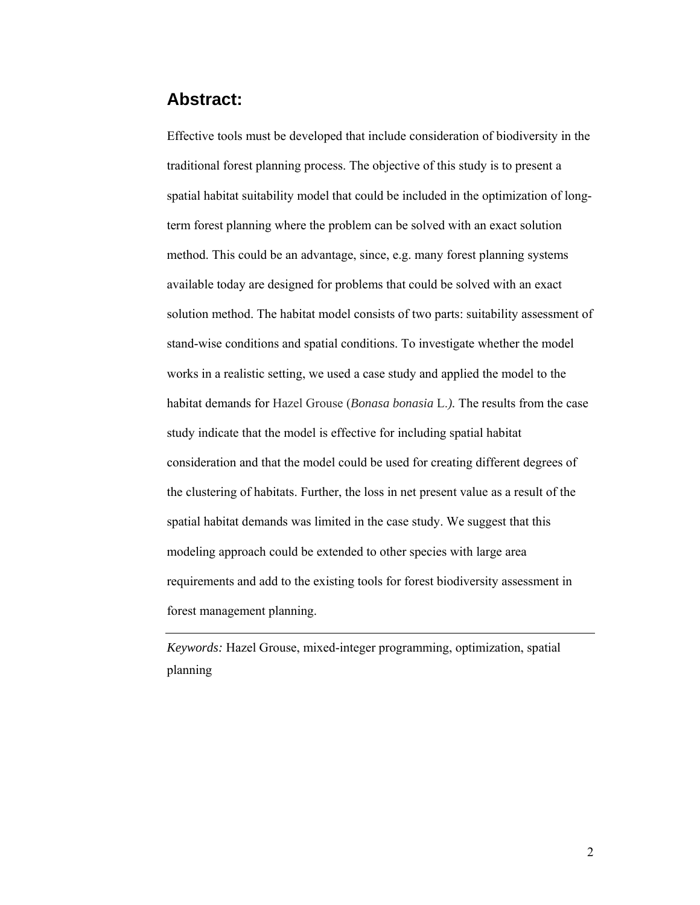# **Abstract:**

Effective tools must be developed that include consideration of biodiversity in the traditional forest planning process. The objective of this study is to present a spatial habitat suitability model that could be included in the optimization of longterm forest planning where the problem can be solved with an exact solution method. This could be an advantage, since, e.g. many forest planning systems available today are designed for problems that could be solved with an exact solution method. The habitat model consists of two parts: suitability assessment of stand-wise conditions and spatial conditions. To investigate whether the model works in a realistic setting, we used a case study and applied the model to the habitat demands for Hazel Grouse (*Bonasa bonasia* L.*).* The results from the case study indicate that the model is effective for including spatial habitat consideration and that the model could be used for creating different degrees of the clustering of habitats. Further, the loss in net present value as a result of the spatial habitat demands was limited in the case study. We suggest that this modeling approach could be extended to other species with large area requirements and add to the existing tools for forest biodiversity assessment in forest management planning.

*Keywords:* Hazel Grouse, mixed-integer programming, optimization, spatial planning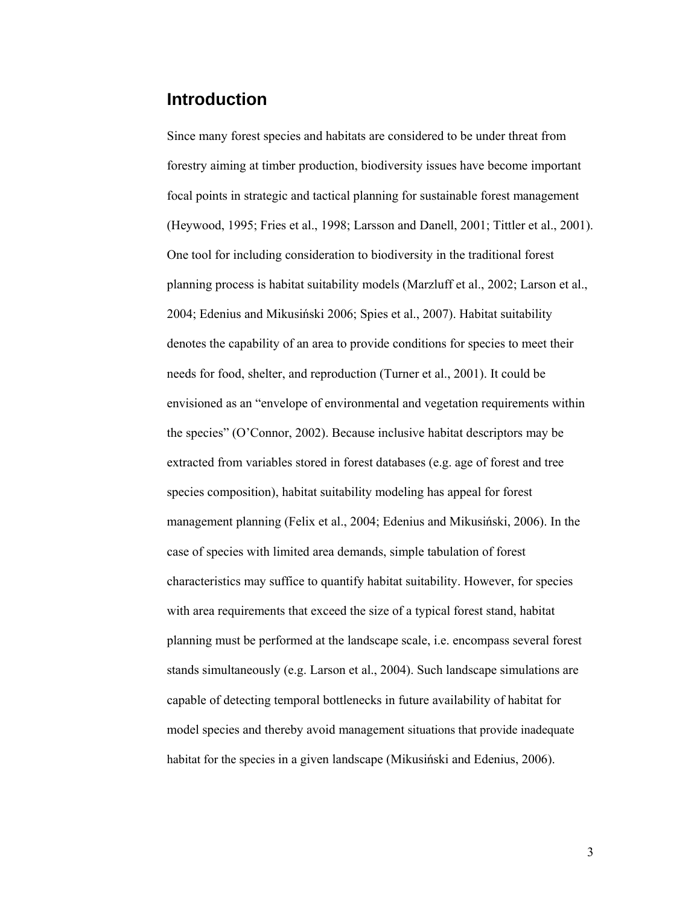# **Introduction**

Since many forest species and habitats are considered to be under threat from forestry aiming at timber production, biodiversity issues have become important focal points in strategic and tactical planning for sustainable forest management (Heywood, 1995; Fries et al., 1998; Larsson and Danell, 2001; Tittler et al., 2001). One tool for including consideration to biodiversity in the traditional forest planning process is habitat suitability models (Marzluff et al., 2002; Larson et al., 2004; Edenius and Mikusiński 2006; Spies et al., 2007). Habitat suitability denotes the capability of an area to provide conditions for species to meet their needs for food, shelter, and reproduction (Turner et al., 2001). It could be envisioned as an "envelope of environmental and vegetation requirements within the species" (O'Connor, 2002). Because inclusive habitat descriptors may be extracted from variables stored in forest databases (e.g. age of forest and tree species composition), habitat suitability modeling has appeal for forest management planning (Felix et al., 2004; Edenius and Mikusiński, 2006). In the case of species with limited area demands, simple tabulation of forest characteristics may suffice to quantify habitat suitability. However, for species with area requirements that exceed the size of a typical forest stand, habitat planning must be performed at the landscape scale, i.e. encompass several forest stands simultaneously (e.g. Larson et al., 2004). Such landscape simulations are capable of detecting temporal bottlenecks in future availability of habitat for model species and thereby avoid management situations that provide inadequate habitat for the species in a given landscape (Mikusiński and Edenius, 2006).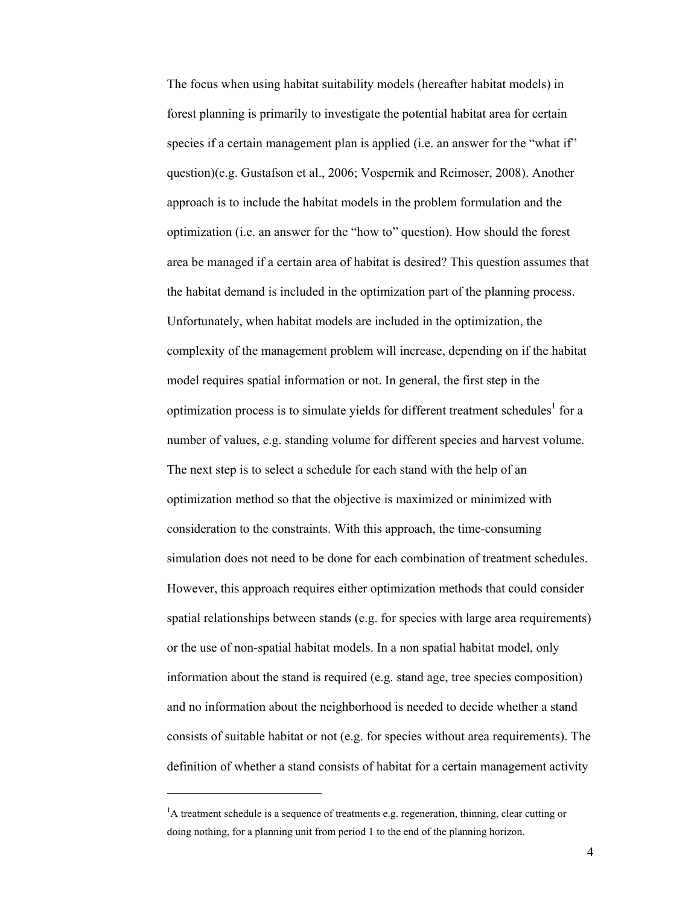The focus when using habitat suitability models (hereafter habitat models) in forest planning is primarily to investigate the potential habitat area for certain species if a certain management plan is applied (i.e. an answer for the "what if" question)(e.g. Gustafson et al., 2006; Vospernik and Reimoser, 2008). Another approach is to include the habitat models in the problem formulation and the optimization (i.e. an answer for the "how to" question). How should the forest area be managed if a certain area of habitat is desired? This question assumes that the habitat demand is included in the optimization part of the planning process. Unfortunately, when habitat models are included in the optimization, the complexity of the management problem will increase, depending on if the habitat model requires spatial information or not. In general, the first step in the optimization process is to simulate yields for different treatment schedules<sup>1</sup> for a number of values, e.g. standing volume for different species and harvest volume. The next step is to select a schedule for each stand with the help of an optimization method so that the objective is maximized or minimized with consideration to the constraints. With this approach, the time-consuming simulation does not need to be done for each combination of treatment schedules. However, this approach requires either optimization methods that could consider spatial relationships between stands (e.g. for species with large area requirements) or the use of non-spatial habitat models. In a non spatial habitat model, only information about the stand is required (e.g. stand age, tree species composition) and no information about the neighborhood is needed to decide whether a stand consists of suitable habitat or not (e.g. for species without area requirements). The definition of whether a stand consists of habitat for a certain management activity

 $\overline{a}$ 

<sup>&</sup>lt;sup>1</sup>A treatment schedule is a sequence of treatments e.g. regeneration, thinning, clear cutting or doing nothing, for a planning unit from period 1 to the end of the planning horizon.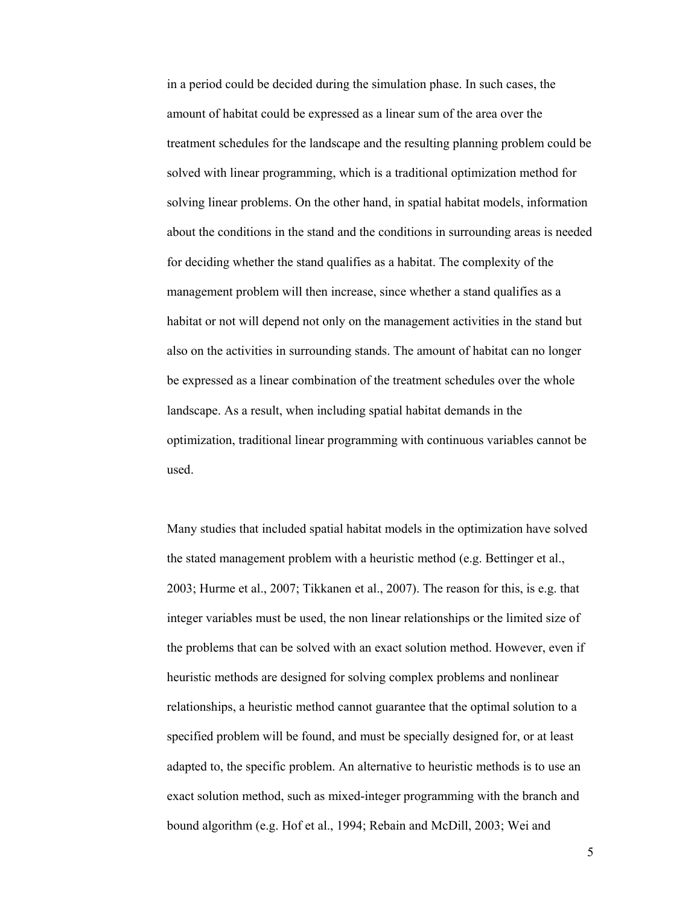in a period could be decided during the simulation phase. In such cases, the amount of habitat could be expressed as a linear sum of the area over the treatment schedules for the landscape and the resulting planning problem could be solved with linear programming, which is a traditional optimization method for solving linear problems. On the other hand, in spatial habitat models, information about the conditions in the stand and the conditions in surrounding areas is needed for deciding whether the stand qualifies as a habitat. The complexity of the management problem will then increase, since whether a stand qualifies as a habitat or not will depend not only on the management activities in the stand but also on the activities in surrounding stands. The amount of habitat can no longer be expressed as a linear combination of the treatment schedules over the whole landscape. As a result, when including spatial habitat demands in the optimization, traditional linear programming with continuous variables cannot be used.

Many studies that included spatial habitat models in the optimization have solved the stated management problem with a heuristic method (e.g. Bettinger et al., 2003; Hurme et al., 2007; Tikkanen et al., 2007). The reason for this, is e.g. that integer variables must be used, the non linear relationships or the limited size of the problems that can be solved with an exact solution method. However, even if heuristic methods are designed for solving complex problems and nonlinear relationships, a heuristic method cannot guarantee that the optimal solution to a specified problem will be found, and must be specially designed for, or at least adapted to, the specific problem. An alternative to heuristic methods is to use an exact solution method, such as mixed-integer programming with the branch and bound algorithm (e.g. Hof et al., 1994; Rebain and McDill, 2003; Wei and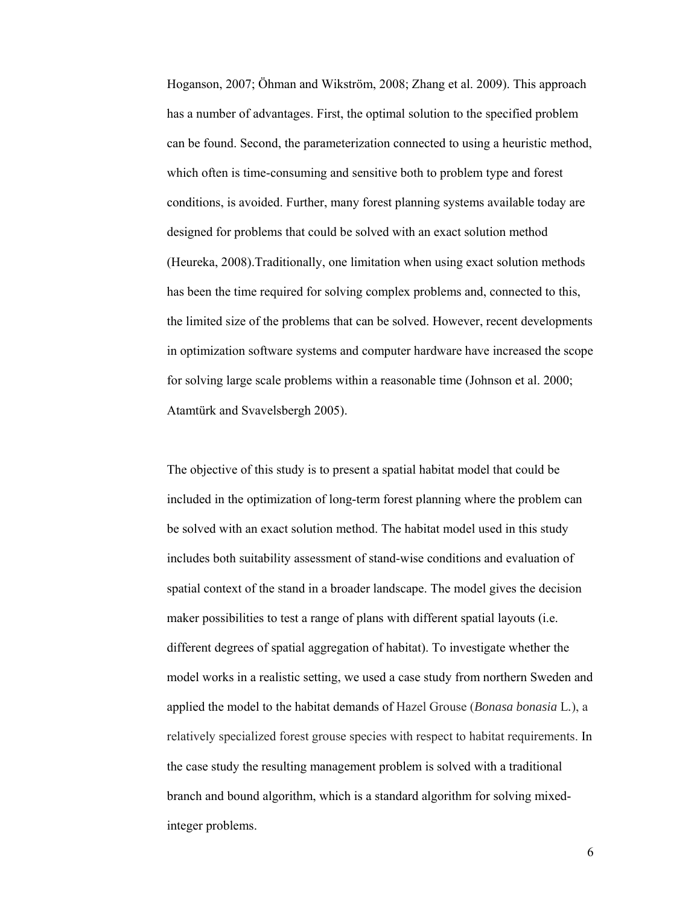Hoganson, 2007; Öhman and Wikström, 2008; Zhang et al. 2009). This approach has a number of advantages. First, the optimal solution to the specified problem can be found. Second, the parameterization connected to using a heuristic method, which often is time-consuming and sensitive both to problem type and forest conditions, is avoided. Further, many forest planning systems available today are designed for problems that could be solved with an exact solution method (Heureka, 2008).Traditionally, one limitation when using exact solution methods has been the time required for solving complex problems and, connected to this, the limited size of the problems that can be solved. However, recent developments in optimization software systems and computer hardware have increased the scope for solving large scale problems within a reasonable time (Johnson et al. 2000; Atamtürk and Svavelsbergh 2005).

The objective of this study is to present a spatial habitat model that could be included in the optimization of long-term forest planning where the problem can be solved with an exact solution method. The habitat model used in this study includes both suitability assessment of stand-wise conditions and evaluation of spatial context of the stand in a broader landscape. The model gives the decision maker possibilities to test a range of plans with different spatial layouts (i.e. different degrees of spatial aggregation of habitat). To investigate whether the model works in a realistic setting, we used a case study from northern Sweden and applied the model to the habitat demands of Hazel Grouse (*Bonasa bonasia* L*.*), a relatively specialized forest grouse species with respect to habitat requirements. In the case study the resulting management problem is solved with a traditional branch and bound algorithm, which is a standard algorithm for solving mixedinteger problems.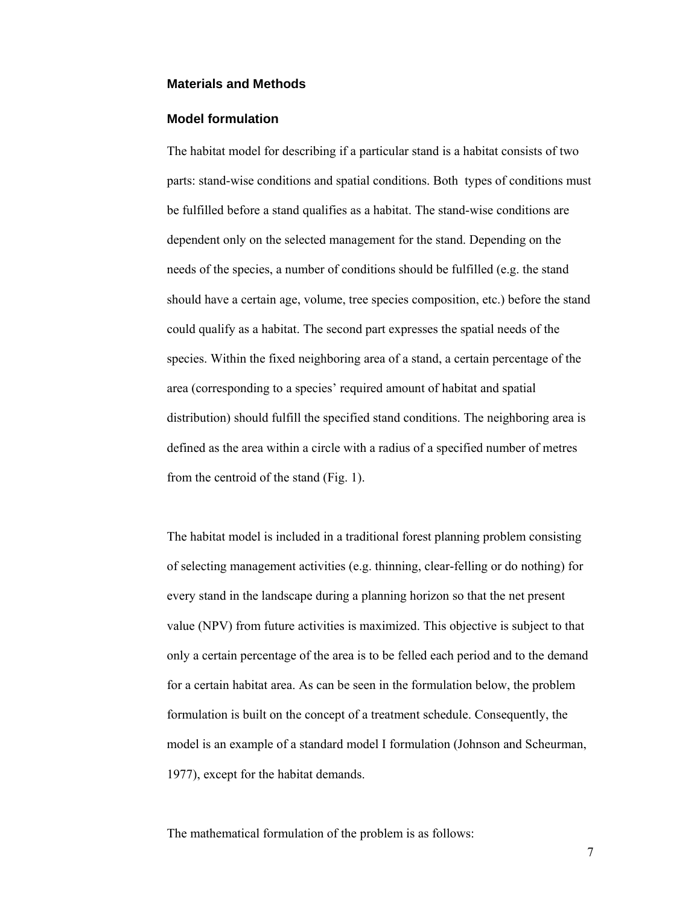#### **Materials and Methods**

#### **Model formulation**

The habitat model for describing if a particular stand is a habitat consists of two parts: stand-wise conditions and spatial conditions. Both types of conditions must be fulfilled before a stand qualifies as a habitat. The stand-wise conditions are dependent only on the selected management for the stand. Depending on the needs of the species, a number of conditions should be fulfilled (e.g. the stand should have a certain age, volume, tree species composition, etc.) before the stand could qualify as a habitat. The second part expresses the spatial needs of the species. Within the fixed neighboring area of a stand, a certain percentage of the area (corresponding to a species' required amount of habitat and spatial distribution) should fulfill the specified stand conditions. The neighboring area is defined as the area within a circle with a radius of a specified number of metres from the centroid of the stand (Fig. 1).

The habitat model is included in a traditional forest planning problem consisting of selecting management activities (e.g. thinning, clear-felling or do nothing) for every stand in the landscape during a planning horizon so that the net present value (NPV) from future activities is maximized. This objective is subject to that only a certain percentage of the area is to be felled each period and to the demand for a certain habitat area. As can be seen in the formulation below, the problem formulation is built on the concept of a treatment schedule. Consequently, the model is an example of a standard model I formulation (Johnson and Scheurman, 1977), except for the habitat demands.

The mathematical formulation of the problem is as follows: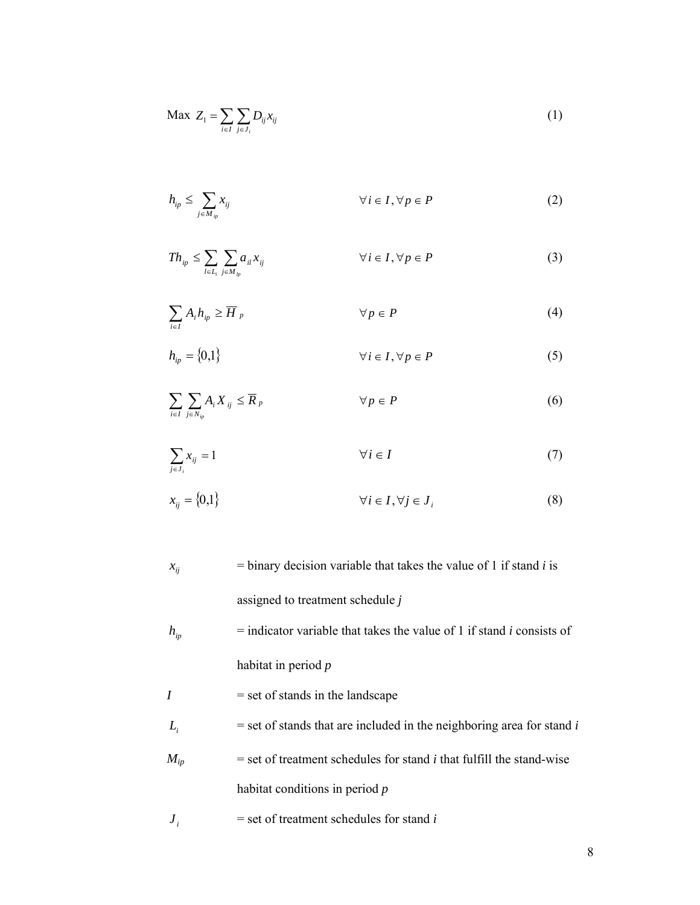$$
\text{Max } Z_1 = \sum_{i \in I} \sum_{j \in J_i} D_{ij} x_{ij} \tag{1}
$$

$$
h_{ip} \le \sum_{j \in M_{ip}} x_{ij} \qquad \qquad \forall i \in I, \forall p \in P \tag{2}
$$

$$
Th_{ip} \leq \sum_{l \in L_i} \sum_{j \in M_{ip}} a_{il} x_{ij} \qquad \qquad \forall i \in I, \forall p \in P
$$
 (3)

$$
\sum_{i \in I} A_i h_{ip} \ge \overline{H}_{p} \qquad \qquad \forall p \in P \tag{4}
$$

$$
h_{ip} = \{0,1\} \qquad \forall i \in I, \forall p \in P \tag{5}
$$

$$
\sum_{i \in I} \sum_{j \in N_{ip}} A_i X_{ij} \le \overline{R}_p \qquad \qquad \forall p \in P \tag{6}
$$

$$
\sum_{j \in J_i} x_{ij} = 1 \qquad \qquad \forall i \in I \tag{7}
$$

$$
x_{ij} = \{0,1\} \qquad \forall i \in I, \forall j \in J_i \tag{8}
$$

- $x_{ij}$  = binary decision variable that takes the value of 1 if stand *i* is assigned to treatment schedule *j*
- $h_{ip}$  = indicator variable that takes the value of 1 if stand *i* consists of habitat in period *p*
- *I* = set of stands in the landscape
- $L_i$  = set of stands that are included in the neighboring area for stand *i*
- $M_{ip}$  = set of treatment schedules for stand *i* that fulfill the stand-wise habitat conditions in period *p*
- $J_i$  = set of treatment schedules for stand *i*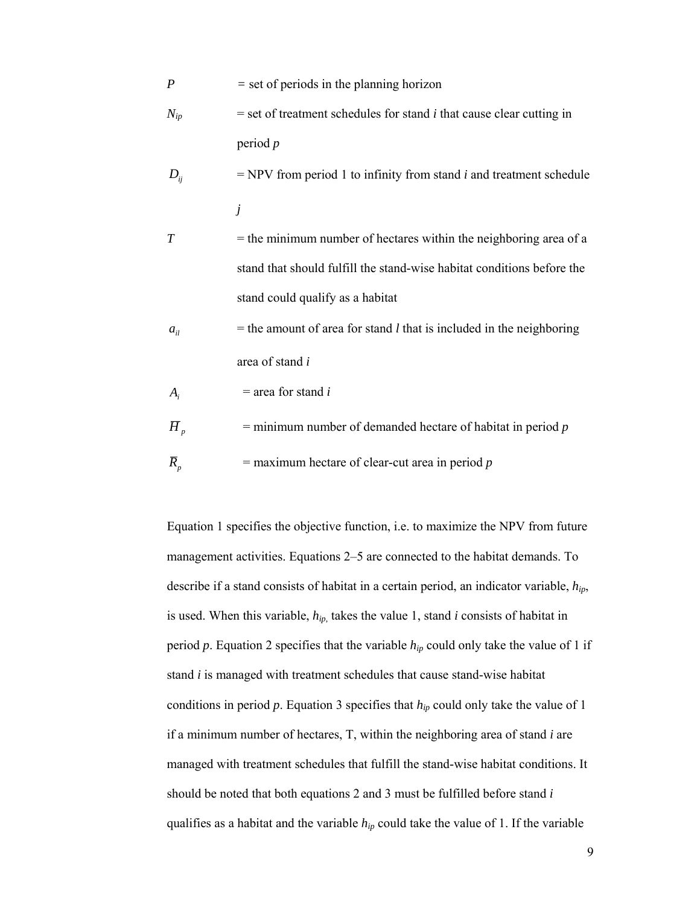- *P* = set of periods in the planning horizon
- $N_{in}$  = set of treatment schedules for stand *i* that cause clear cutting in period *p*
- $D_{ii}$  = NPV from period 1 to infinity from stand *i* and treatment schedule *j*
- *T* = the minimum number of hectares within the neighboring area of a stand that should fulfill the stand-wise habitat conditions before the stand could qualify as a habitat
- $a_{ij}$  = the amount of area for stand *l* that is included in the neighboring area of stand *i*

 $A_i$  = area for stand *i* 

- $\overline{H}_p$  = minimum number of demanded hectare of habitat in period *p*
- $\overline{R}_p$  = maximum hectare of clear-cut area in period *p*

Equation 1 specifies the objective function, i.e. to maximize the NPV from future management activities. Equations 2–5 are connected to the habitat demands. To describe if a stand consists of habitat in a certain period, an indicator variable, *hip*, is used. When this variable, *hip,* takes the value 1, stand *i* consists of habitat in period p. Equation 2 specifies that the variable  $h_{ip}$  could only take the value of 1 if stand *i* is managed with treatment schedules that cause stand-wise habitat conditions in period *p*. Equation 3 specifies that *hip* could only take the value of 1 if a minimum number of hectares, T, within the neighboring area of stand *i* are managed with treatment schedules that fulfill the stand-wise habitat conditions. It should be noted that both equations 2 and 3 must be fulfilled before stand *i* qualifies as a habitat and the variable *hip* could take the value of 1. If the variable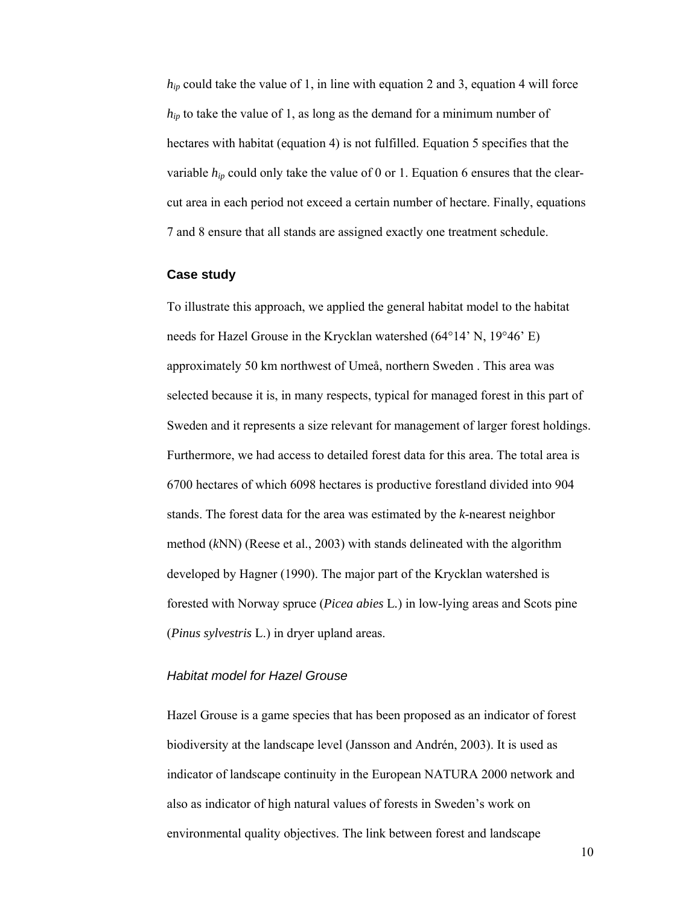*hip* could take the value of 1, in line with equation 2 and 3, equation 4 will force  $h_{in}$  to take the value of 1, as long as the demand for a minimum number of hectares with habitat (equation 4) is not fulfilled. Equation 5 specifies that the variable  $h_{ip}$  could only take the value of 0 or 1. Equation 6 ensures that the clearcut area in each period not exceed a certain number of hectare. Finally, equations 7 and 8 ensure that all stands are assigned exactly one treatment schedule.

#### **Case study**

To illustrate this approach, we applied the general habitat model to the habitat needs for Hazel Grouse in the Krycklan watershed (64°14' N, 19°46' E) approximately 50 km northwest of Umeå, northern Sweden . This area was selected because it is, in many respects, typical for managed forest in this part of Sweden and it represents a size relevant for management of larger forest holdings. Furthermore, we had access to detailed forest data for this area. The total area is 6700 hectares of which 6098 hectares is productive forestland divided into 904 stands. The forest data for the area was estimated by the *k*-nearest neighbor method (*k*NN) (Reese et al., 2003) with stands delineated with the algorithm developed by Hagner (1990). The major part of the Krycklan watershed is forested with Norway spruce (*Picea abies* L*.*) in low-lying areas and Scots pine (*Pinus sylvestris* L.) in dryer upland areas.

#### *Habitat model for Hazel Grouse*

Hazel Grouse is a game species that has been proposed as an indicator of forest biodiversity at the landscape level (Jansson and Andrén, 2003). It is used as indicator of landscape continuity in the European NATURA 2000 network and also as indicator of high natural values of forests in Sweden's work on environmental quality objectives. The link between forest and landscape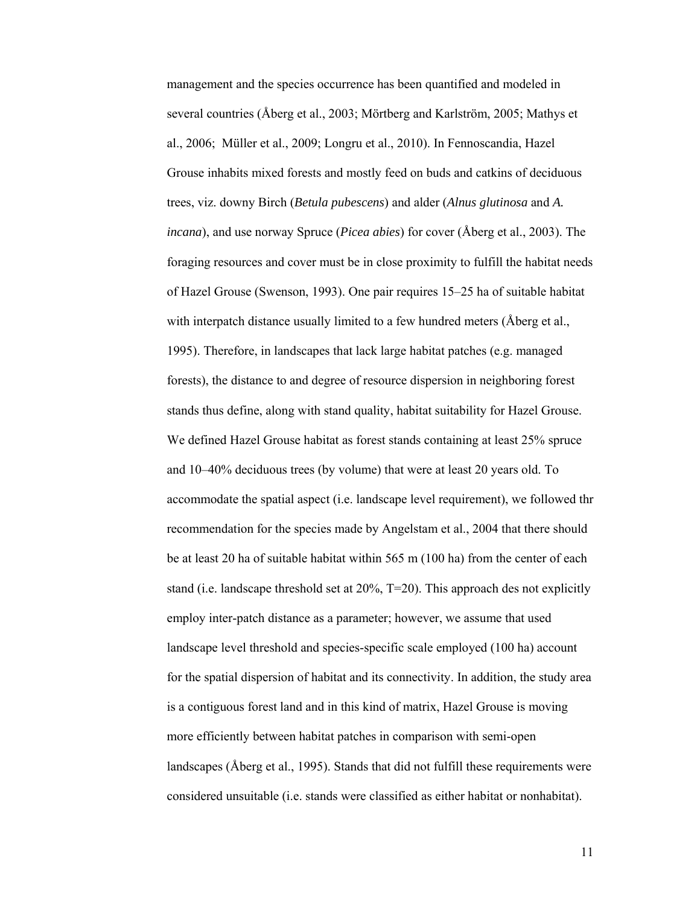management and the species occurrence has been quantified and modeled in several countries (Åberg et al., 2003; Mörtberg and Karlström, 2005; Mathys et al., 2006; Müller et al., 2009; Longru et al., 2010). In Fennoscandia, Hazel Grouse inhabits mixed forests and mostly feed on buds and catkins of deciduous trees, viz. downy Birch (*Betula pubescens*) and alder (*Alnus glutinosa* and *A. incana*), and use norway Spruce (*Picea abies*) for cover (Åberg et al., 2003). The foraging resources and cover must be in close proximity to fulfill the habitat needs of Hazel Grouse (Swenson, 1993). One pair requires 15–25 ha of suitable habitat with interpatch distance usually limited to a few hundred meters (Åberg et al., 1995). Therefore, in landscapes that lack large habitat patches (e.g. managed forests), the distance to and degree of resource dispersion in neighboring forest stands thus define, along with stand quality, habitat suitability for Hazel Grouse. We defined Hazel Grouse habitat as forest stands containing at least 25% spruce and 10–40% deciduous trees (by volume) that were at least 20 years old. To accommodate the spatial aspect (i.e. landscape level requirement), we followed thr recommendation for the species made by Angelstam et al., 2004 that there should be at least 20 ha of suitable habitat within 565 m (100 ha) from the center of each stand (i.e. landscape threshold set at 20%, T=20). This approach des not explicitly employ inter-patch distance as a parameter; however, we assume that used landscape level threshold and species-specific scale employed (100 ha) account for the spatial dispersion of habitat and its connectivity. In addition, the study area is a contiguous forest land and in this kind of matrix, Hazel Grouse is moving more efficiently between habitat patches in comparison with semi-open landscapes (Åberg et al., 1995). Stands that did not fulfill these requirements were considered unsuitable (i.e. stands were classified as either habitat or nonhabitat).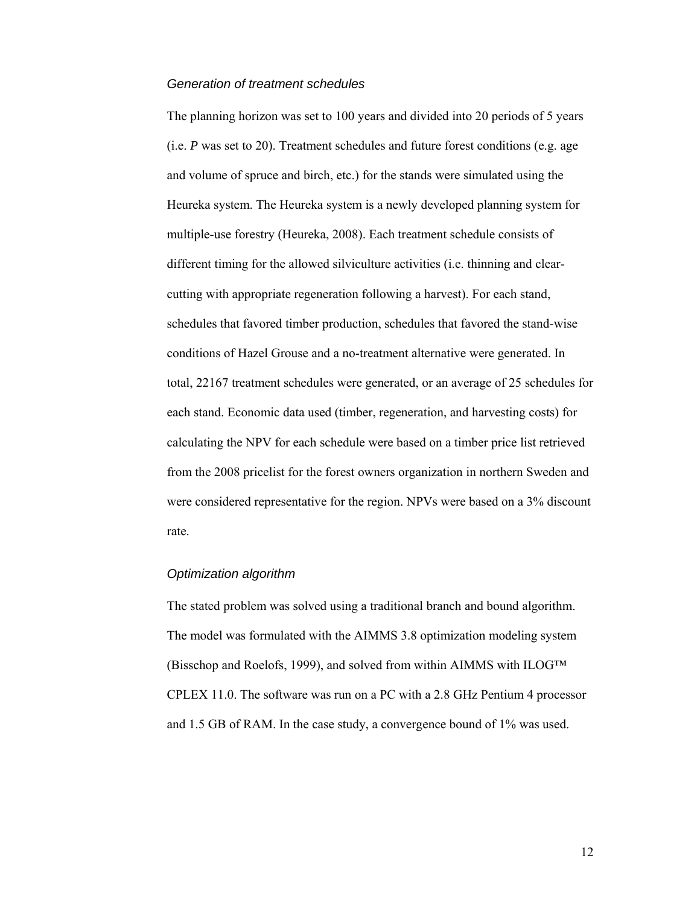#### *Generation of treatment schedules*

The planning horizon was set to 100 years and divided into 20 periods of 5 years (i.e. *P* was set to 20). Treatment schedules and future forest conditions (e.g. age and volume of spruce and birch, etc.) for the stands were simulated using the Heureka system. The Heureka system is a newly developed planning system for multiple-use forestry (Heureka, 2008). Each treatment schedule consists of different timing for the allowed silviculture activities (i.e. thinning and clearcutting with appropriate regeneration following a harvest). For each stand, schedules that favored timber production, schedules that favored the stand-wise conditions of Hazel Grouse and a no-treatment alternative were generated. In total, 22167 treatment schedules were generated, or an average of 25 schedules for each stand. Economic data used (timber, regeneration, and harvesting costs) for calculating the NPV for each schedule were based on a timber price list retrieved from the 2008 pricelist for the forest owners organization in northern Sweden and were considered representative for the region. NPVs were based on a 3% discount rate.

#### *Optimization algorithm*

The stated problem was solved using a traditional branch and bound algorithm. The model was formulated with the AIMMS 3.8 optimization modeling system (Bisschop and Roelofs, 1999), and solved from within AIMMS with ILOG™ CPLEX 11.0. The software was run on a PC with a 2.8 GHz Pentium 4 processor and 1.5 GB of RAM. In the case study, a convergence bound of 1% was used.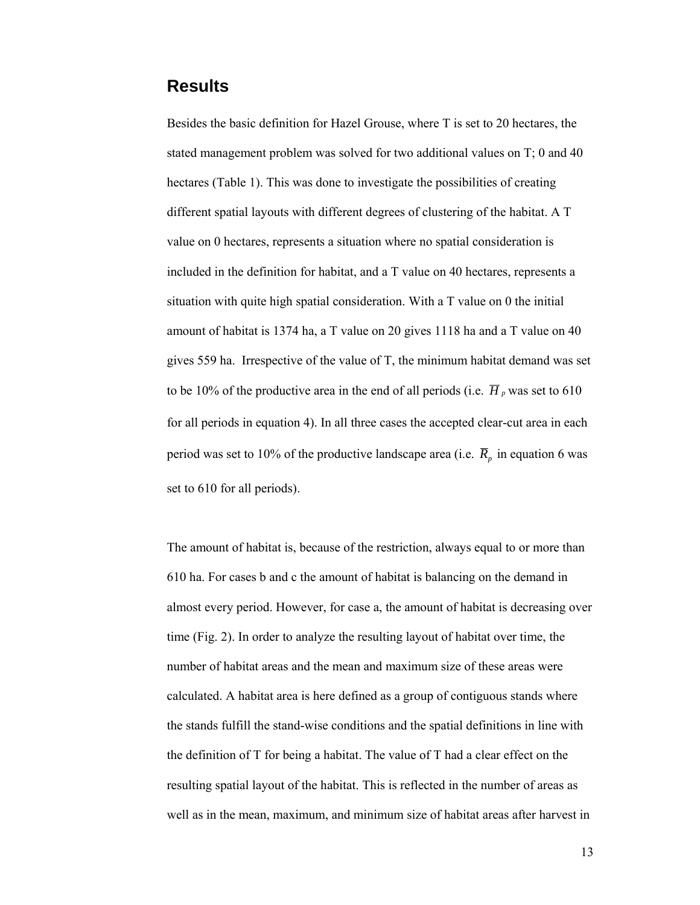### **Results**

Besides the basic definition for Hazel Grouse, where T is set to 20 hectares, the stated management problem was solved for two additional values on T; 0 and 40 hectares (Table 1). This was done to investigate the possibilities of creating different spatial layouts with different degrees of clustering of the habitat. A T value on 0 hectares, represents a situation where no spatial consideration is included in the definition for habitat, and a T value on 40 hectares, represents a situation with quite high spatial consideration. With a T value on 0 the initial amount of habitat is 1374 ha, a T value on 20 gives 1118 ha and a T value on 40 gives 559 ha. Irrespective of the value of T, the minimum habitat demand was set to be 10% of the productive area in the end of all periods (i.e.  $\overline{H}_p$  was set to 610 for all periods in equation 4). In all three cases the accepted clear-cut area in each period was set to 10% of the productive landscape area (i.e.  $\overline{R}_p$  in equation 6 was set to 610 for all periods).

The amount of habitat is, because of the restriction, always equal to or more than 610 ha. For cases b and c the amount of habitat is balancing on the demand in almost every period. However, for case a, the amount of habitat is decreasing over time (Fig. 2). In order to analyze the resulting layout of habitat over time, the number of habitat areas and the mean and maximum size of these areas were calculated. A habitat area is here defined as a group of contiguous stands where the stands fulfill the stand-wise conditions and the spatial definitions in line with the definition of T for being a habitat. The value of T had a clear effect on the resulting spatial layout of the habitat. This is reflected in the number of areas as well as in the mean, maximum, and minimum size of habitat areas after harvest in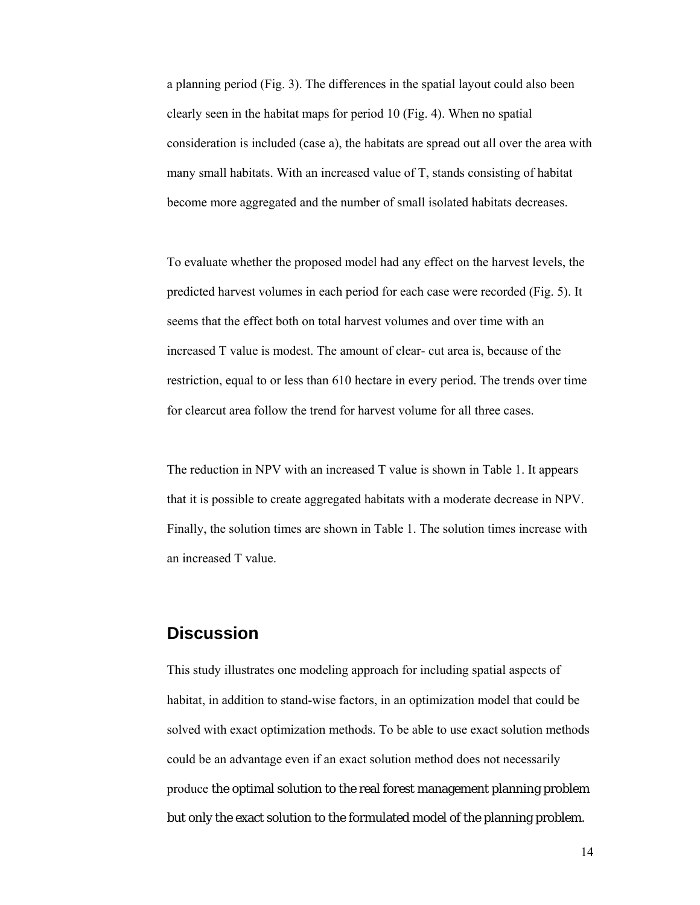a planning period (Fig. 3). The differences in the spatial layout could also been clearly seen in the habitat maps for period 10 (Fig. 4). When no spatial consideration is included (case a), the habitats are spread out all over the area with many small habitats. With an increased value of T, stands consisting of habitat become more aggregated and the number of small isolated habitats decreases.

To evaluate whether the proposed model had any effect on the harvest levels, the predicted harvest volumes in each period for each case were recorded (Fig. 5). It seems that the effect both on total harvest volumes and over time with an increased T value is modest. The amount of clear- cut area is, because of the restriction, equal to or less than 610 hectare in every period. The trends over time for clearcut area follow the trend for harvest volume for all three cases.

The reduction in NPV with an increased T value is shown in Table 1. It appears that it is possible to create aggregated habitats with a moderate decrease in NPV. Finally, the solution times are shown in Table 1. The solution times increase with an increased T value.

### **Discussion**

This study illustrates one modeling approach for including spatial aspects of habitat, in addition to stand-wise factors, in an optimization model that could be solved with exact optimization methods. To be able to use exact solution methods could be an advantage even if an exact solution method does not necessarily produce the optimal solution to the real forest management planning problem but only the exact solution to the formulated model of the planning problem.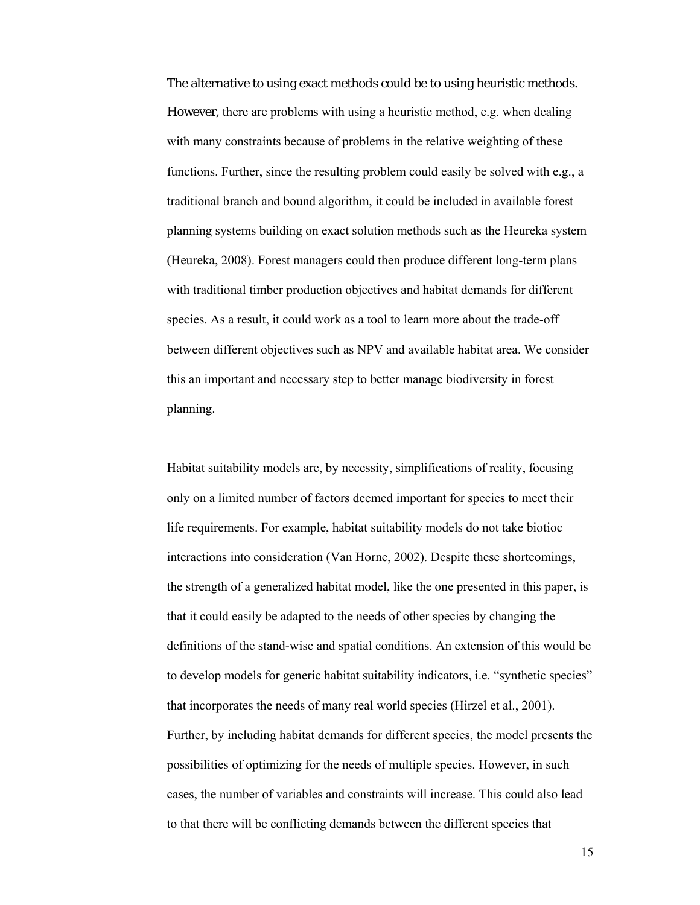The alternative to using exact methods could be to using heuristic methods. However, there are problems with using a heuristic method, e.g. when dealing with many constraints because of problems in the relative weighting of these functions. Further, since the resulting problem could easily be solved with e.g., a traditional branch and bound algorithm, it could be included in available forest planning systems building on exact solution methods such as the Heureka system (Heureka, 2008). Forest managers could then produce different long-term plans with traditional timber production objectives and habitat demands for different species. As a result, it could work as a tool to learn more about the trade-off between different objectives such as NPV and available habitat area. We consider this an important and necessary step to better manage biodiversity in forest planning.

Habitat suitability models are, by necessity, simplifications of reality, focusing only on a limited number of factors deemed important for species to meet their life requirements. For example, habitat suitability models do not take biotioc interactions into consideration (Van Horne, 2002). Despite these shortcomings, the strength of a generalized habitat model, like the one presented in this paper, is that it could easily be adapted to the needs of other species by changing the definitions of the stand-wise and spatial conditions. An extension of this would be to develop models for generic habitat suitability indicators, i.e. "synthetic species" that incorporates the needs of many real world species (Hirzel et al., 2001). Further, by including habitat demands for different species, the model presents the possibilities of optimizing for the needs of multiple species. However, in such cases, the number of variables and constraints will increase. This could also lead to that there will be conflicting demands between the different species that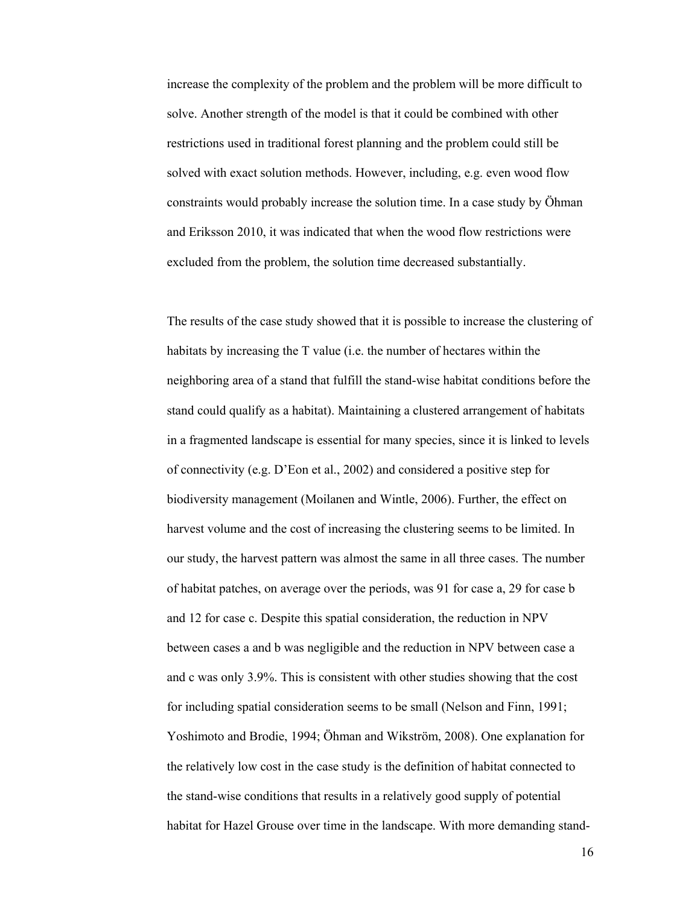increase the complexity of the problem and the problem will be more difficult to solve. Another strength of the model is that it could be combined with other restrictions used in traditional forest planning and the problem could still be solved with exact solution methods. However, including, e.g. even wood flow constraints would probably increase the solution time. In a case study by Öhman and Eriksson 2010, it was indicated that when the wood flow restrictions were excluded from the problem, the solution time decreased substantially.

The results of the case study showed that it is possible to increase the clustering of habitats by increasing the T value (i.e. the number of hectares within the neighboring area of a stand that fulfill the stand-wise habitat conditions before the stand could qualify as a habitat). Maintaining a clustered arrangement of habitats in a fragmented landscape is essential for many species, since it is linked to levels of connectivity (e.g. D'Eon et al., 2002) and considered a positive step for biodiversity management (Moilanen and Wintle, 2006). Further, the effect on harvest volume and the cost of increasing the clustering seems to be limited. In our study, the harvest pattern was almost the same in all three cases. The number of habitat patches, on average over the periods, was 91 for case a, 29 for case b and 12 for case c. Despite this spatial consideration, the reduction in NPV between cases a and b was negligible and the reduction in NPV between case a and c was only 3.9%. This is consistent with other studies showing that the cost for including spatial consideration seems to be small (Nelson and Finn, 1991; Yoshimoto and Brodie, 1994; Öhman and Wikström, 2008). One explanation for the relatively low cost in the case study is the definition of habitat connected to the stand-wise conditions that results in a relatively good supply of potential habitat for Hazel Grouse over time in the landscape. With more demanding stand-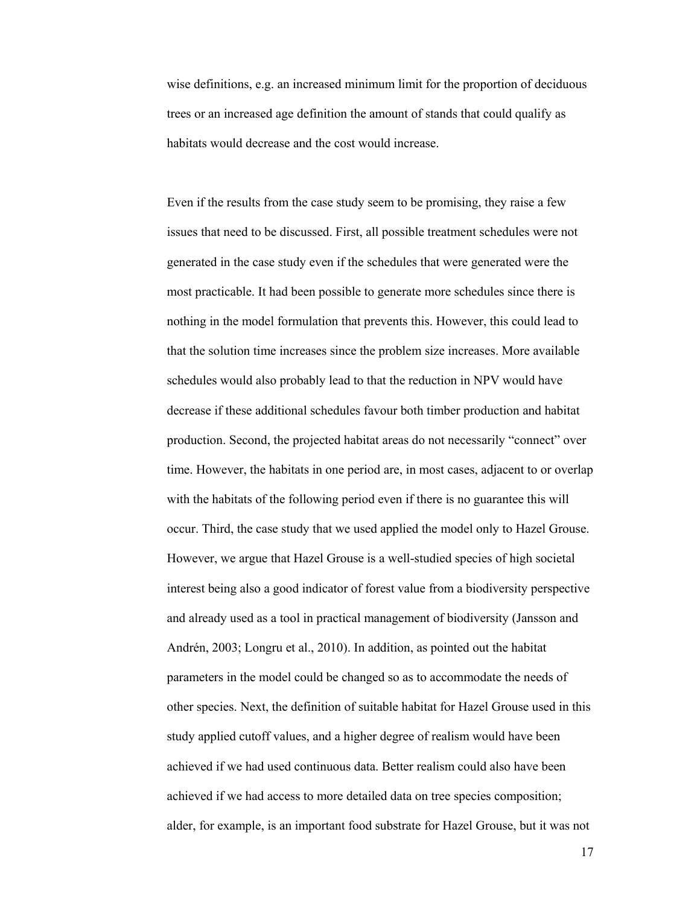wise definitions, e.g. an increased minimum limit for the proportion of deciduous trees or an increased age definition the amount of stands that could qualify as habitats would decrease and the cost would increase.

Even if the results from the case study seem to be promising, they raise a few issues that need to be discussed. First, all possible treatment schedules were not generated in the case study even if the schedules that were generated were the most practicable. It had been possible to generate more schedules since there is nothing in the model formulation that prevents this. However, this could lead to that the solution time increases since the problem size increases. More available schedules would also probably lead to that the reduction in NPV would have decrease if these additional schedules favour both timber production and habitat production. Second, the projected habitat areas do not necessarily "connect" over time. However, the habitats in one period are, in most cases, adjacent to or overlap with the habitats of the following period even if there is no guarantee this will occur. Third, the case study that we used applied the model only to Hazel Grouse. However, we argue that Hazel Grouse is a well-studied species of high societal interest being also a good indicator of forest value from a biodiversity perspective and already used as a tool in practical management of biodiversity (Jansson and Andrén, 2003; Longru et al., 2010). In addition, as pointed out the habitat parameters in the model could be changed so as to accommodate the needs of other species. Next, the definition of suitable habitat for Hazel Grouse used in this study applied cutoff values, and a higher degree of realism would have been achieved if we had used continuous data. Better realism could also have been achieved if we had access to more detailed data on tree species composition; alder, for example, is an important food substrate for Hazel Grouse, but it was not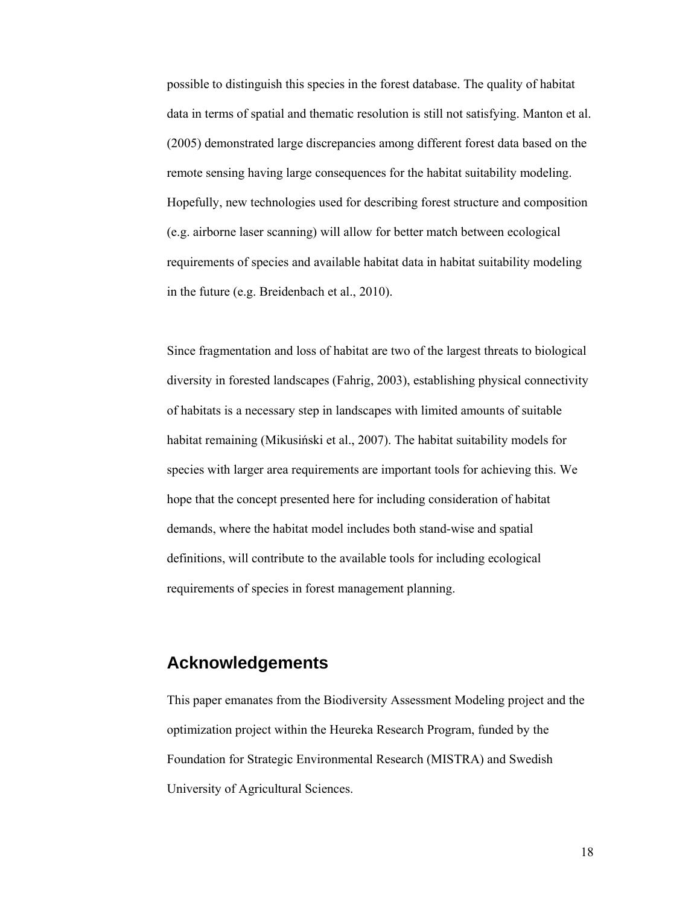possible to distinguish this species in the forest database. The quality of habitat data in terms of spatial and thematic resolution is still not satisfying. Manton et al. (2005) demonstrated large discrepancies among different forest data based on the remote sensing having large consequences for the habitat suitability modeling. Hopefully, new technologies used for describing forest structure and composition (e.g. airborne laser scanning) will allow for better match between ecological requirements of species and available habitat data in habitat suitability modeling in the future (e.g. Breidenbach et al., 2010).

Since fragmentation and loss of habitat are two of the largest threats to biological diversity in forested landscapes (Fahrig, 2003), establishing physical connectivity of habitats is a necessary step in landscapes with limited amounts of suitable habitat remaining (Mikusiński et al., 2007). The habitat suitability models for species with larger area requirements are important tools for achieving this. We hope that the concept presented here for including consideration of habitat demands, where the habitat model includes both stand-wise and spatial definitions, will contribute to the available tools for including ecological requirements of species in forest management planning.

# **Acknowledgements**

This paper emanates from the Biodiversity Assessment Modeling project and the optimization project within the Heureka Research Program, funded by the Foundation for Strategic Environmental Research (MISTRA) and Swedish University of Agricultural Sciences.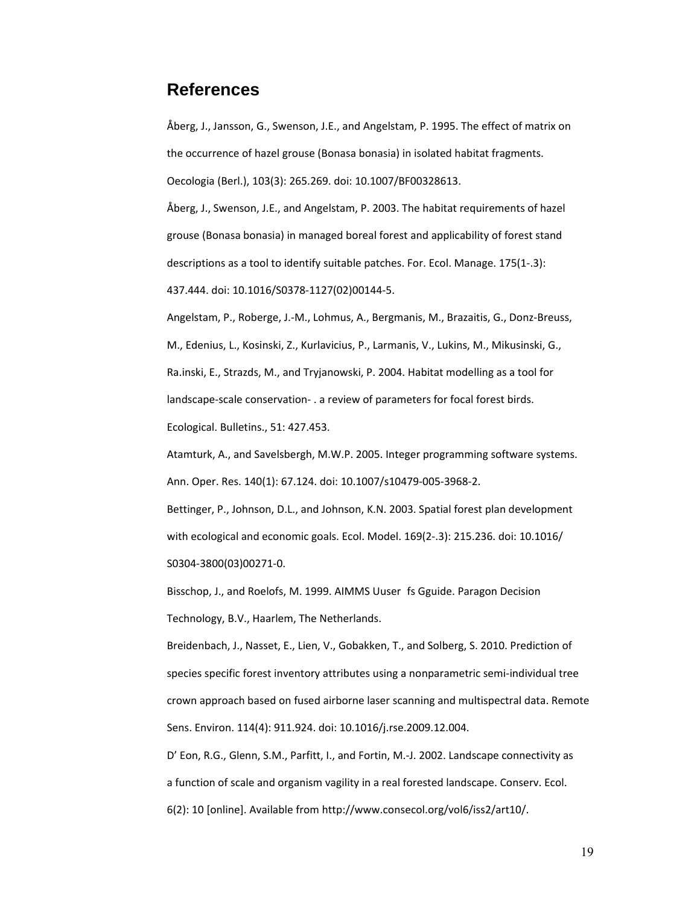### **References**

Åberg, J., Jansson, G., Swenson, J.E., and Angelstam, P. 1995. The effect of matrix on the occurrence of hazel grouse (Bonasa bonasia) in isolated habitat fragments. Oecologia (Berl.), 103(3): 265.269. doi: 10.1007/BF00328613.

Åberg, J., Swenson, J.E., and Angelstam, P. 2003. The habitat requirements of hazel grouse (Bonasa bonasia) in managed boreal forest and applicability of forest stand descriptions as a tool to identify suitable patches. For. Ecol. Manage. 175(1‐.3): 437.444. doi: 10.1016/S0378‐1127(02)00144‐5.

Angelstam, P., Roberge, J.‐M., Lohmus, A., Bergmanis, M., Brazaitis, G., Donz‐Breuss, M., Edenius, L., Kosinski, Z., Kurlavicius, P., Larmanis, V., Lukins, M., Mikusinski, G., Ra.inski, E., Strazds, M., and Tryjanowski, P. 2004. Habitat modelling as a tool for landscape‐scale conservation‐ . a review of parameters for focal forest birds. Ecological. Bulletins., 51: 427.453.

Atamturk, A., and Savelsbergh, M.W.P. 2005. Integer programming software systems. Ann. Oper. Res. 140(1): 67.124. doi: 10.1007/s10479‐005‐3968‐2.

Bettinger, P., Johnson, D.L., and Johnson, K.N. 2003. Spatial forest plan development with ecological and economic goals. Ecol. Model. 169(2‐.3): 215.236. doi: 10.1016/ S0304‐3800(03)00271‐0.

Bisschop, J., and Roelofs, M. 1999. AIMMS Uuser fs Gguide. Paragon Decision Technology, B.V., Haarlem, The Netherlands.

Breidenbach, J., Nasset, E., Lien, V., Gobakken, T., and Solberg, S. 2010. Prediction of species specific forest inventory attributes using a nonparametric semi-individual tree crown approach based on fused airborne laser scanning and multispectral data. Remote Sens. Environ. 114(4): 911.924. doi: 10.1016/j.rse.2009.12.004.

D' Eon, R.G., Glenn, S.M., Parfitt, I., and Fortin, M.‐J. 2002. Landscape connectivity as a function of scale and organism vagility in a real forested landscape. Conserv. Ecol. 6(2): 10 [online]. Available from http://www.consecol.org/vol6/iss2/art10/.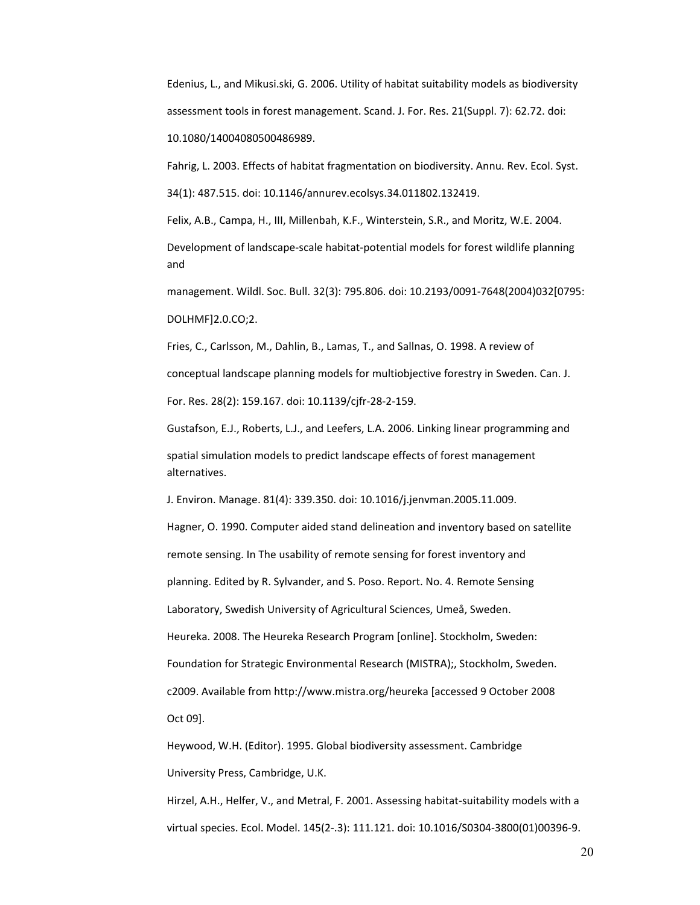Edenius, L., and Mikusi.ski, G. 2006. Utility of habitat suitability models as biodiversity assessment tools in forest management. Scand. J. For. Res. 21(Suppl. 7): 62.72. doi: 10.1080/14004080500486989.

Fahrig, L. 2003. Effects of habitat fragmentation on biodiversity. Annu. Rev. Ecol. Syst. 34(1): 487.515. doi: 10.1146/annurev.ecolsys.34.011802.132419.

Felix, A.B., Campa, H., III, Millenbah, K.F., Winterstein, S.R., and Moritz, W.E. 2004.

Development of landscape‐scale habitat‐potential models for forest wildlife planning and

management. Wildl. Soc. Bull. 32(3): 795.806. doi: 10.2193/0091‐7648(2004)032[0795: DOLHMF]2.0.CO;2.

Fries, C., Carlsson, M., Dahlin, B., Lamas, T., and Sallnas, O. 1998. A review of conceptual landscape planning models for multiobjective forestry in Sweden. Can. J. For. Res. 28(2): 159.167. doi: 10.1139/cjfr‐28‐2‐159.

Gustafson, E.J., Roberts, L.J., and Leefers, L.A. 2006. Linking linear programming and spatial simulation models to predict landscape effects of forest management alternatives.

J. Environ. Manage. 81(4): 339.350. doi: 10.1016/j.jenvman.2005.11.009.

Hagner, O. 1990. Computer aided stand delineation and inventory based on satellite remote sensing. In The usability of remote sensing for forest inventory and planning. Edited by R. Sylvander, and S. Poso. Report. No. 4. Remote Sensing Laboratory, Swedish University of Agricultural Sciences, Umeå, Sweden. Heureka. 2008. The Heureka Research Program [online]. Stockholm, Sweden: Foundation for Strategic Environmental Research (MISTRA);, Stockholm, Sweden. c2009. Available from http://www.mistra.org/heureka [accessed 9 October 2008 Oct 09].

Heywood, W.H. (Editor). 1995. Global biodiversity assessment. Cambridge University Press, Cambridge, U.K.

Hirzel, A.H., Helfer, V., and Metral, F. 2001. Assessing habitat-suitability models with a virtual species. Ecol. Model. 145(2‐.3): 111.121. doi: 10.1016/S0304‐3800(01)00396‐9.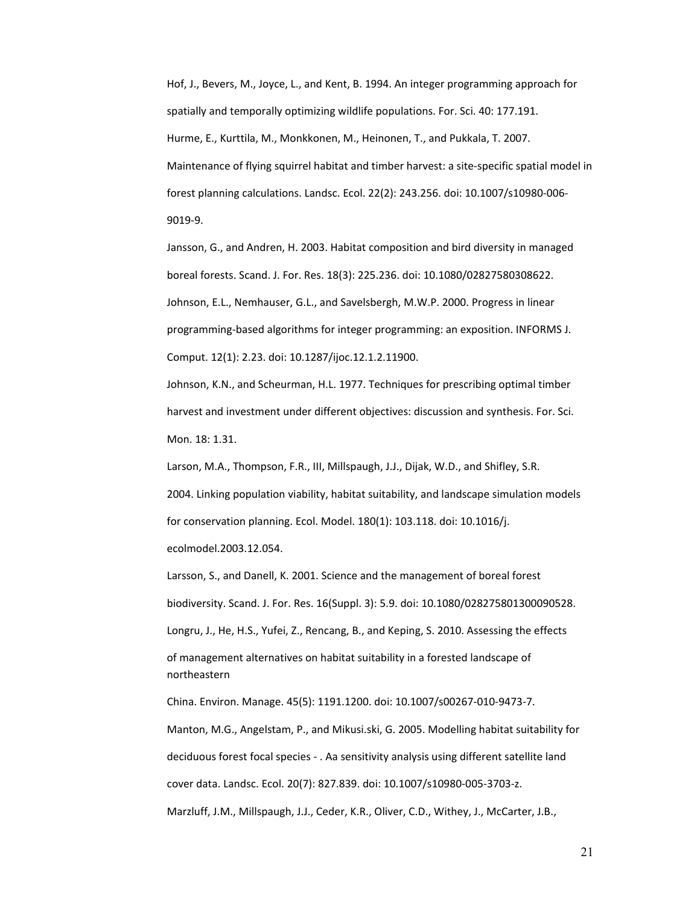Hof, J., Bevers, M., Joyce, L., and Kent, B. 1994. An integer programming approach for spatially and temporally optimizing wildlife populations. For. Sci. 40: 177.191. Hurme, E., Kurttila, M., Monkkonen, M., Heinonen, T., and Pukkala, T. 2007. Maintenance of flying squirrel habitat and timber harvest: a site‐specific spatial model in forest planning calculations. Landsc. Ecol. 22(2): 243.256. doi: 10.1007/s10980‐006‐ 9019‐9.

Jansson, G., and Andren, H. 2003. Habitat composition and bird diversity in managed boreal forests. Scand. J. For. Res. 18(3): 225.236. doi: 10.1080/02827580308622. Johnson, E.L., Nemhauser, G.L., and Savelsbergh, M.W.P. 2000. Progress in linear programming‐based algorithms for integer programming: an exposition. INFORMS J. Comput. 12(1): 2.23. doi: 10.1287/ijoc.12.1.2.11900.

Johnson, K.N., and Scheurman, H.L. 1977. Techniques for prescribing optimal timber harvest and investment under different objectives: discussion and synthesis. For. Sci. Mon. 18: 1.31.

Larson, M.A., Thompson, F.R., III, Millspaugh, J.J., Dijak, W.D., and Shifley, S.R. 2004. Linking population viability, habitat suitability, and landscape simulation models for conservation planning. Ecol. Model. 180(1): 103.118. doi: 10.1016/j. ecolmodel.2003.12.054.

Larsson, S., and Danell, K. 2001. Science and the management of boreal forest biodiversity. Scand. J. For. Res. 16(Suppl. 3): 5.9. doi: 10.1080/028275801300090528. Longru, J., He, H.S., Yufei, Z., Rencang, B., and Keping, S. 2010. Assessing the effects of management alternatives on habitat suitability in a forested landscape of northeastern

China. Environ. Manage. 45(5): 1191.1200. doi: 10.1007/s00267‐010‐9473‐7.

Manton, M.G., Angelstam, P., and Mikusi.ski, G. 2005. Modelling habitat suitability for deciduous forest focal species ‐ . Aa sensitivity analysis using different satellite land cover data. Landsc. Ecol. 20(7): 827.839. doi: 10.1007/s10980‐005‐3703‐z. Marzluff, J.M., Millspaugh, J.J., Ceder, K.R., Oliver, C.D., Withey, J., McCarter, J.B.,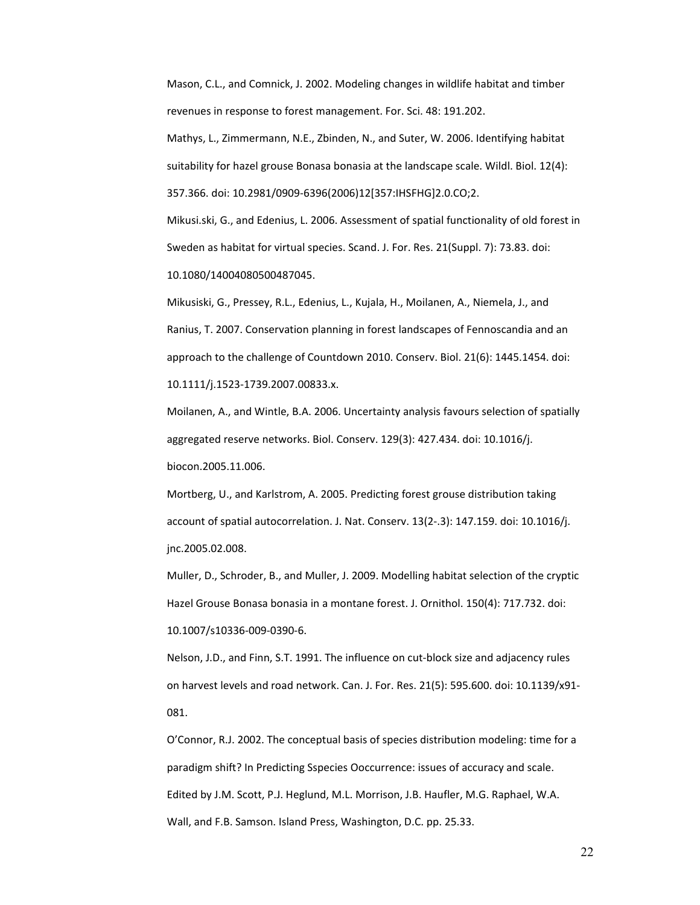Mason, C.L., and Comnick, J. 2002. Modeling changes in wildlife habitat and timber revenues in response to forest management. For. Sci. 48: 191.202.

Mathys, L., Zimmermann, N.E., Zbinden, N., and Suter, W. 2006. Identifying habitat suitability for hazel grouse Bonasa bonasia at the landscape scale. Wildl. Biol. 12(4): 357.366. doi: 10.2981/0909‐6396(2006)12[357:IHSFHG]2.0.CO;2.

Mikusi.ski, G., and Edenius, L. 2006. Assessment of spatial functionality of old forest in Sweden as habitat for virtual species. Scand. J. For. Res. 21(Suppl. 7): 73.83. doi: 10.1080/14004080500487045.

Mikusiski, G., Pressey, R.L., Edenius, L., Kujala, H., Moilanen, A., Niemela, J., and Ranius, T. 2007. Conservation planning in forest landscapes of Fennoscandia and an approach to the challenge of Countdown 2010. Conserv. Biol. 21(6): 1445.1454. doi: 10.1111/j.1523‐1739.2007.00833.x.

Moilanen, A., and Wintle, B.A. 2006. Uncertainty analysis favours selection of spatially aggregated reserve networks. Biol. Conserv. 129(3): 427.434. doi: 10.1016/j. biocon.2005.11.006.

Mortberg, U., and Karlstrom, A. 2005. Predicting forest grouse distribution taking account of spatial autocorrelation. J. Nat. Conserv. 13(2‐.3): 147.159. doi: 10.1016/j. jnc.2005.02.008.

Muller, D., Schroder, B., and Muller, J. 2009. Modelling habitat selection of the cryptic Hazel Grouse Bonasa bonasia in a montane forest. J. Ornithol. 150(4): 717.732. doi: 10.1007/s10336‐009‐0390‐6.

Nelson, J.D., and Finn, S.T. 1991. The influence on cut-block size and adjacency rules on harvest levels and road network. Can. J. For. Res. 21(5): 595.600. doi: 10.1139/x91-081.

O'Connor, R.J. 2002. The conceptual basis of species distribution modeling: time for a paradigm shift? In Predicting Sspecies Ooccurrence: issues of accuracy and scale. Edited by J.M. Scott, P.J. Heglund, M.L. Morrison, J.B. Haufler, M.G. Raphael, W.A. Wall, and F.B. Samson. Island Press, Washington, D.C. pp. 25.33.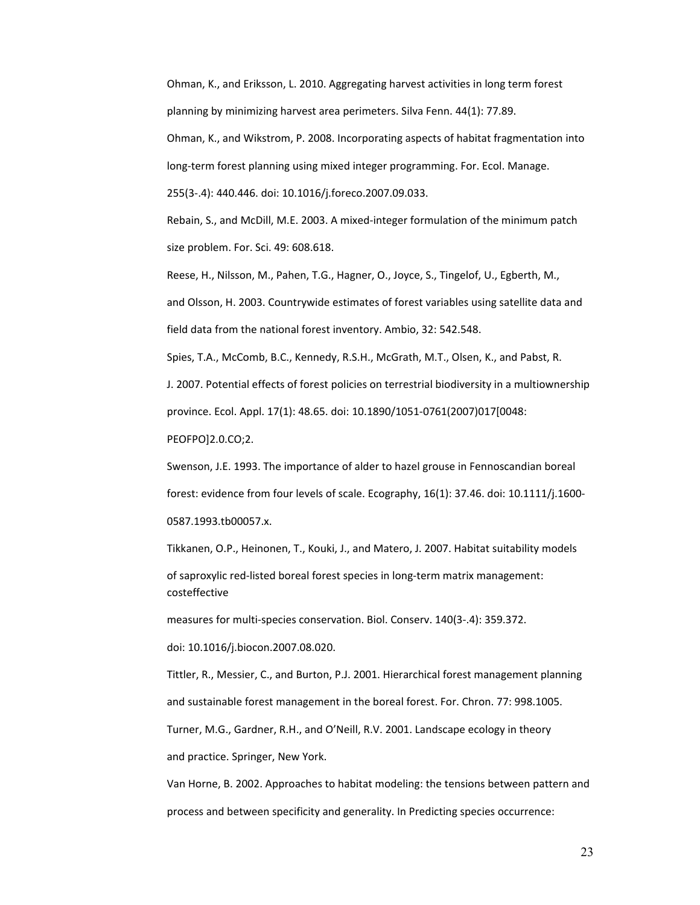Ohman, K., and Eriksson, L. 2010. Aggregating harvest activities in long term forest planning by minimizing harvest area perimeters. Silva Fenn. 44(1): 77.89. Ohman, K., and Wikstrom, P. 2008. Incorporating aspects of habitat fragmentation into long-term forest planning using mixed integer programming. For. Ecol. Manage. 255(3‐.4): 440.446. doi: 10.1016/j.foreco.2007.09.033.

Rebain, S., and McDill, M.E. 2003. A mixed‐integer formulation of the minimum patch size problem. For. Sci. 49: 608.618.

Reese, H., Nilsson, M., Pahen, T.G., Hagner, O., Joyce, S., Tingelof, U., Egberth, M., and Olsson, H. 2003. Countrywide estimates of forest variables using satellite data and field data from the national forest inventory. Ambio, 32: 542.548.

Spies, T.A., McComb, B.C., Kennedy, R.S.H., McGrath, M.T., Olsen, K., and Pabst, R. J. 2007. Potential effects of forest policies on terrestrial biodiversity in a multiownership province. Ecol. Appl. 17(1): 48.65. doi: 10.1890/1051‐0761(2007)017[0048: PEOFPO]2.0.CO;2.

Swenson, J.E. 1993. The importance of alder to hazel grouse in Fennoscandian boreal forest: evidence from four levels of scale. Ecography, 16(1): 37.46. doi: 10.1111/j.1600-0587.1993.tb00057.x.

Tikkanen, O.P., Heinonen, T., Kouki, J., and Matero, J. 2007. Habitat suitability models of saproxylic red‐listed boreal forest species in long‐term matrix management: costeffective

measures for multi-species conservation. Biol. Conserv. 140(3-.4): 359.372.

doi: 10.1016/j.biocon.2007.08.020.

Tittler, R., Messier, C., and Burton, P.J. 2001. Hierarchical forest management planning and sustainable forest management in the boreal forest. For. Chron. 77: 998.1005. Turner, M.G., Gardner, R.H., and O'Neill, R.V. 2001. Landscape ecology in theory

and practice. Springer, New York.

Van Horne, B. 2002. Approaches to habitat modeling: the tensions between pattern and process and between specificity and generality. In Predicting species occurrence: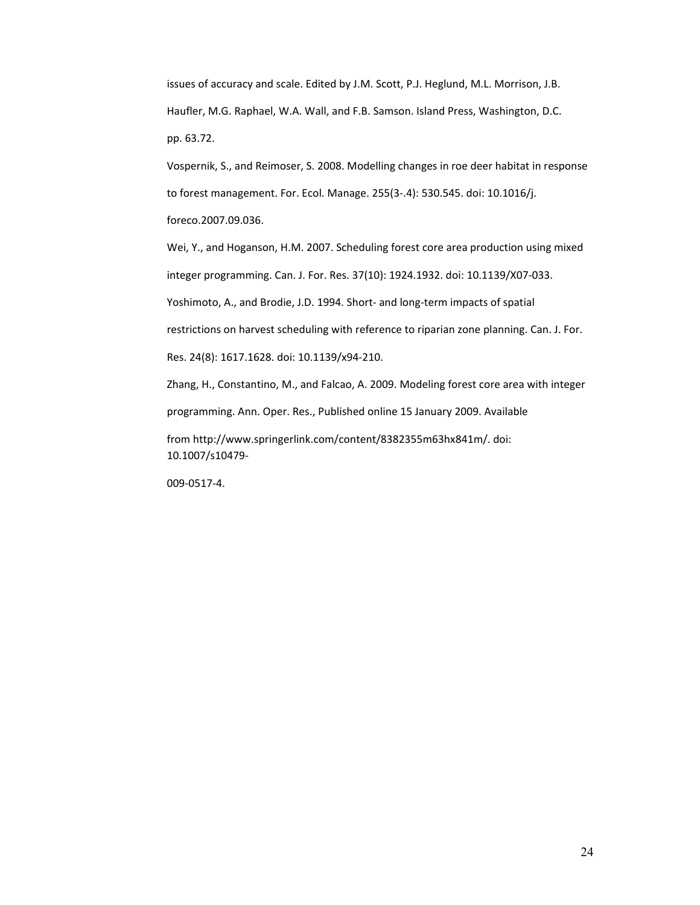issues of accuracy and scale. Edited by J.M. Scott, P.J. Heglund, M.L. Morrison, J.B. Haufler, M.G. Raphael, W.A. Wall, and F.B. Samson. Island Press, Washington, D.C. pp. 63.72.

Vospernik, S., and Reimoser, S. 2008. Modelling changes in roe deer habitat in response to forest management. For. Ecol. Manage. 255(3‐.4): 530.545. doi: 10.1016/j. foreco.2007.09.036.

Wei, Y., and Hoganson, H.M. 2007. Scheduling forest core area production using mixed integer programming. Can. J. For. Res. 37(10): 1924.1932. doi: 10.1139/X07‐033.

Yoshimoto, A., and Brodie, J.D. 1994. Short‐ and long‐term impacts of spatial

restrictions on harvest scheduling with reference to riparian zone planning. Can. J. For.

Res. 24(8): 1617.1628. doi: 10.1139/x94‐210.

Zhang, H., Constantino, M., and Falcao, A. 2009. Modeling forest core area with integer programming. Ann. Oper. Res., Published online 15 January 2009. Available

from http://www.springerlink.com/content/8382355m63hx841m/. doi: 10.1007/s10479‐

009‐0517‐4.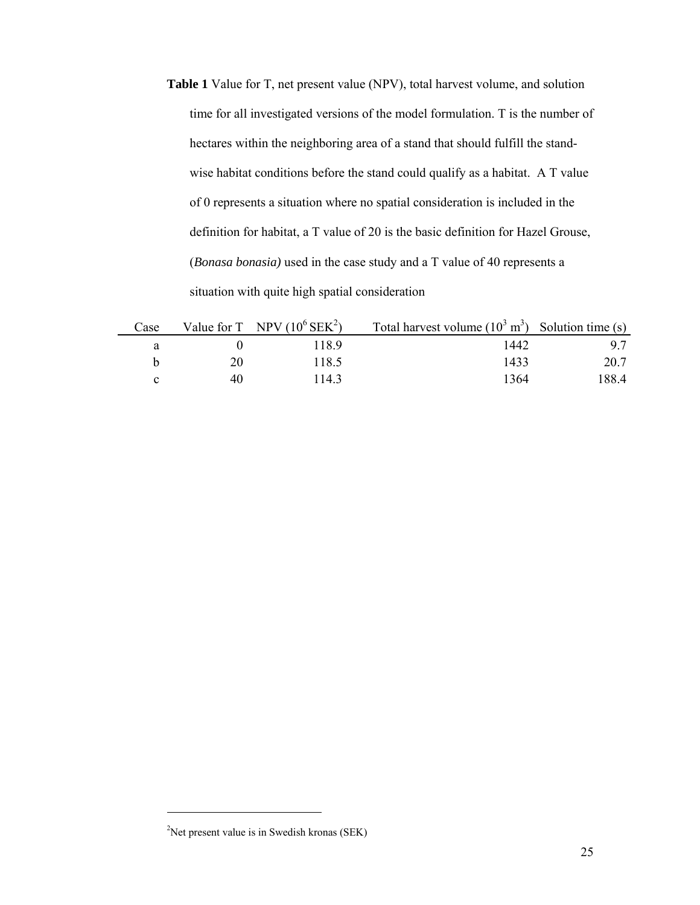**Table 1** Value for T, net present value (NPV), total harvest volume, and solution time for all investigated versions of the model formulation. T is the number of hectares within the neighboring area of a stand that should fulfill the standwise habitat conditions before the stand could qualify as a habitat. A T value of 0 represents a situation where no spatial consideration is included in the definition for habitat, a T value of 20 is the basic definition for Hazel Grouse, (*Bonasa bonasia)* used in the case study and a T value of 40 represents a situation with quite high spatial consideration

| Case |    | Value for T NPV $(10^6 \text{SEK}^2)$ | Total harvest volume $(10^3 \text{ m}^3)$ Solution time (s) |       |
|------|----|---------------------------------------|-------------------------------------------------------------|-------|
|      |    | 1189                                  | 1442                                                        |       |
|      | 20 | 118.5                                 | 1433                                                        | 20.7  |
|      | 40 | 1143                                  | 1364                                                        | 188.4 |

 $\overline{\phantom{a}}$ 

<sup>&</sup>lt;sup>2</sup>Net present value is in Swedish kronas (SEK)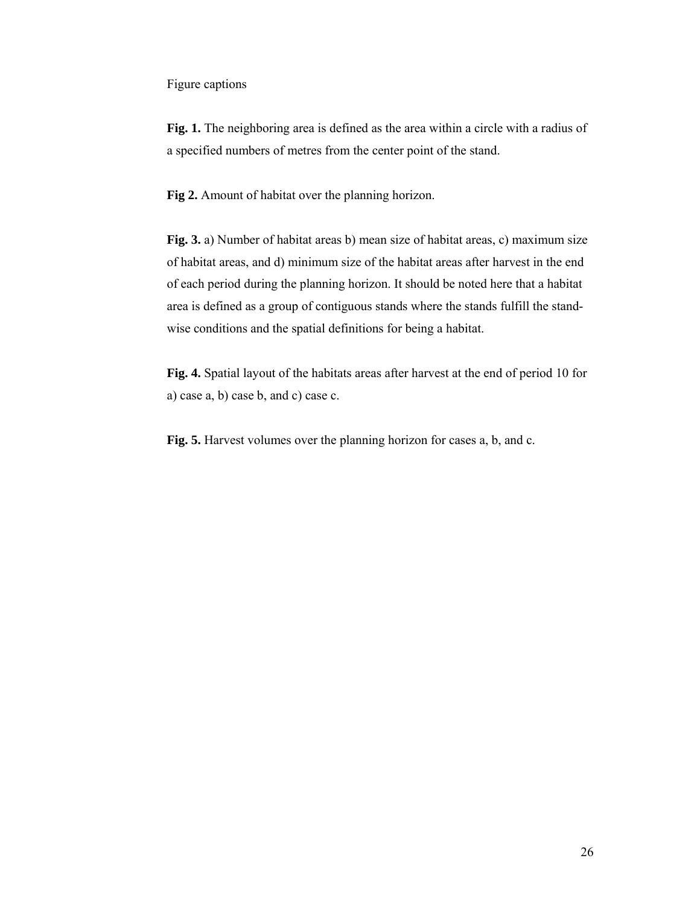Figure captions

**Fig. 1.** The neighboring area is defined as the area within a circle with a radius of a specified numbers of metres from the center point of the stand.

**Fig 2.** Amount of habitat over the planning horizon.

**Fig. 3.** a) Number of habitat areas b) mean size of habitat areas, c) maximum size of habitat areas, and d) minimum size of the habitat areas after harvest in the end of each period during the planning horizon. It should be noted here that a habitat area is defined as a group of contiguous stands where the stands fulfill the standwise conditions and the spatial definitions for being a habitat.

**Fig. 4.** Spatial layout of the habitats areas after harvest at the end of period 10 for a) case a, b) case b, and c) case c.

**Fig. 5.** Harvest volumes over the planning horizon for cases a, b, and c.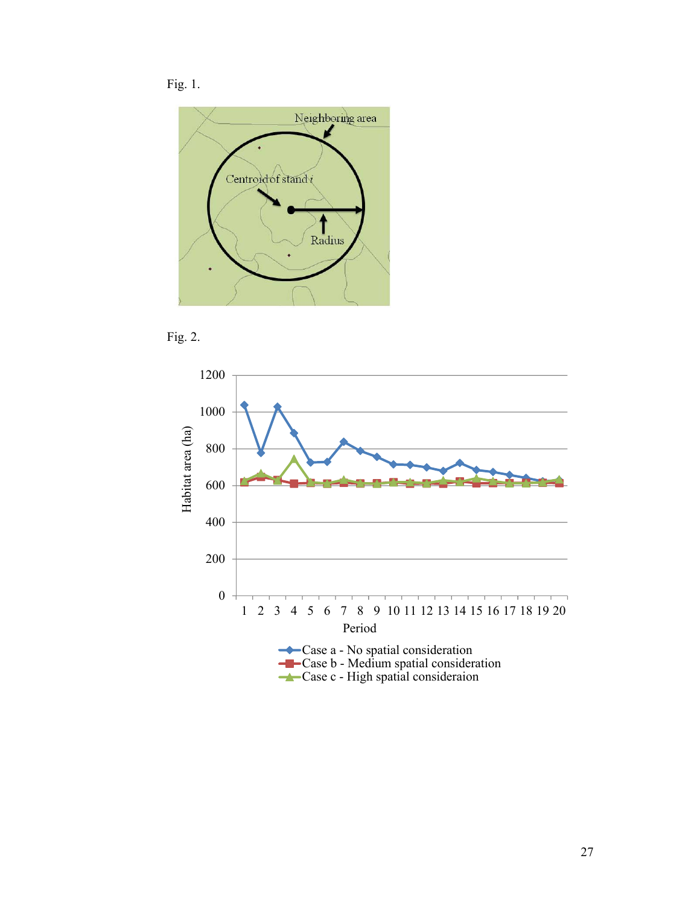





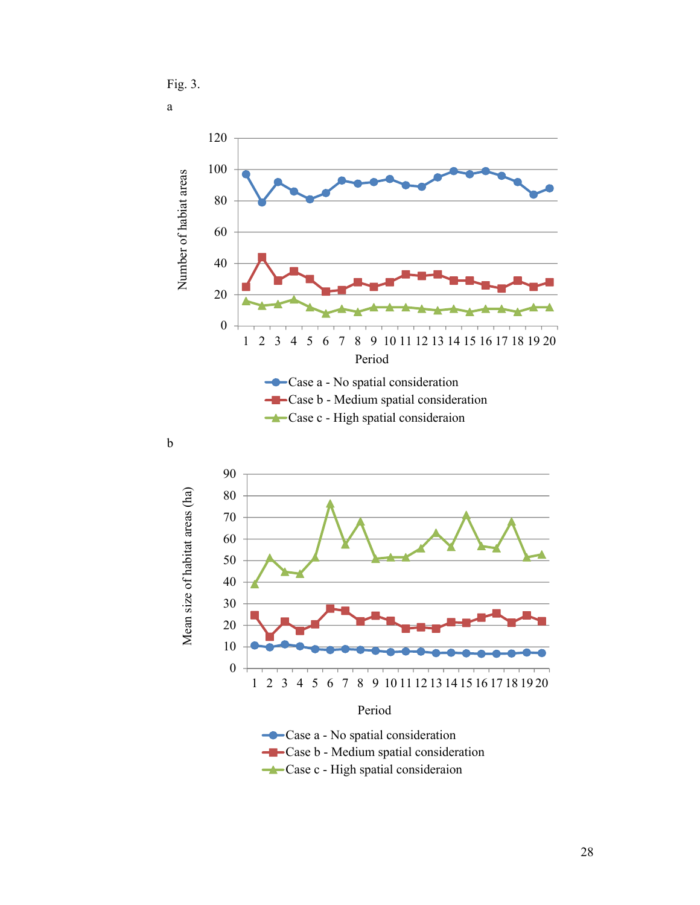Fig. 3. a







**-** Case b - Medium spatial consideration

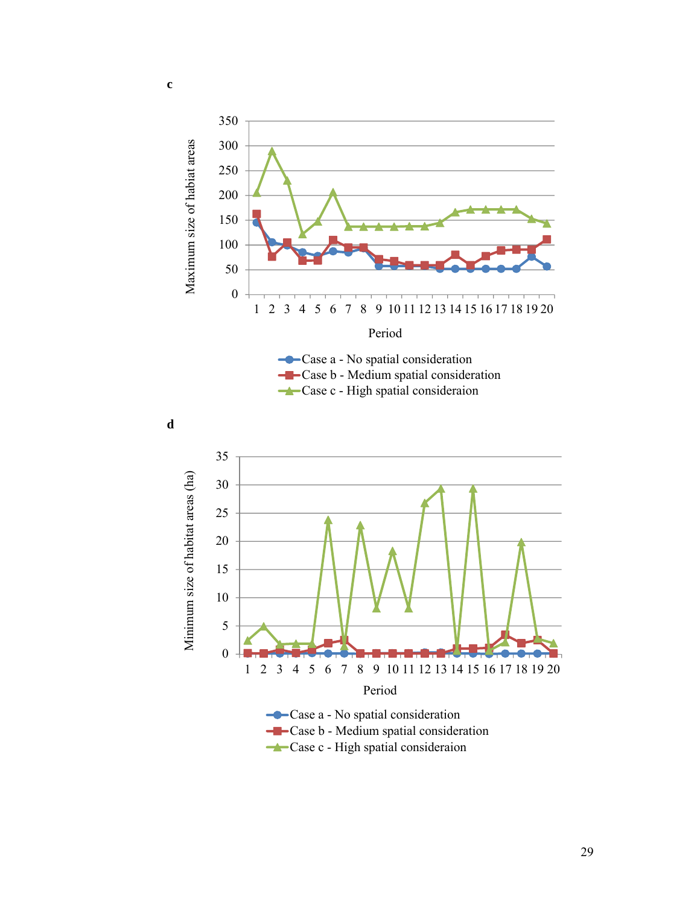

**Case c** - High spatial consideraion



**c** 

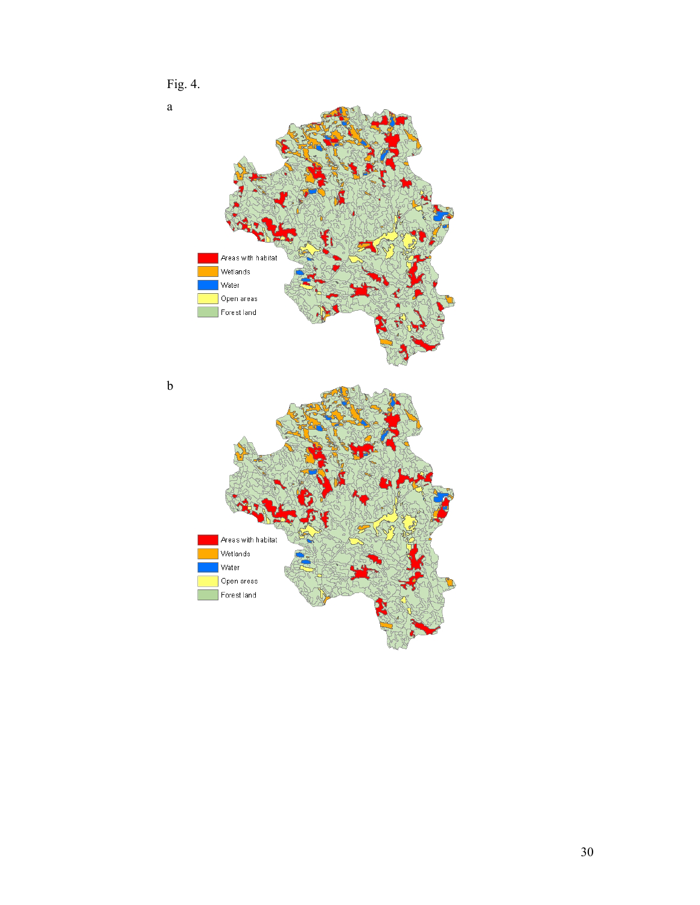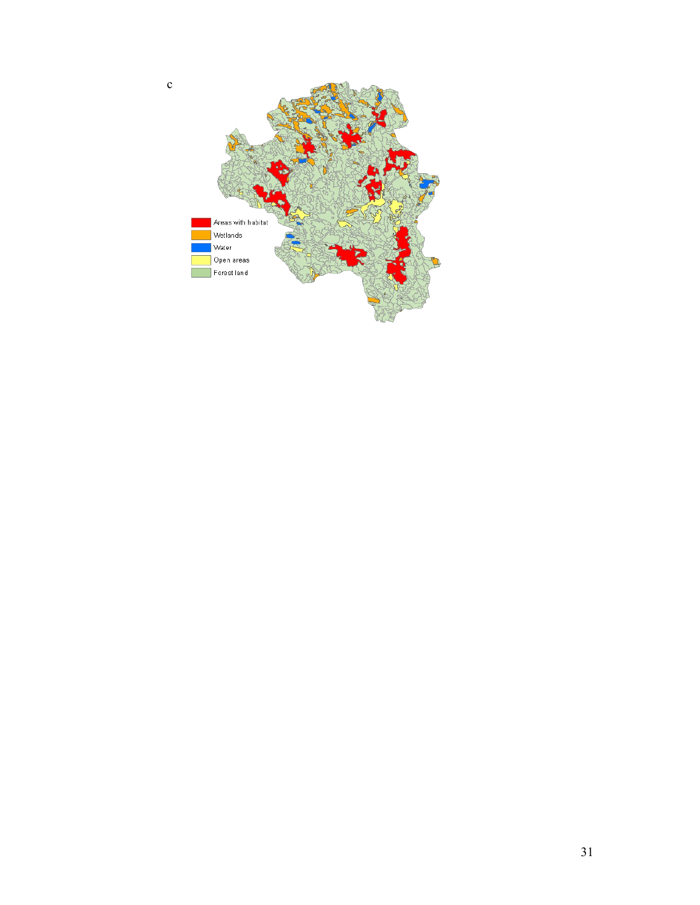

c